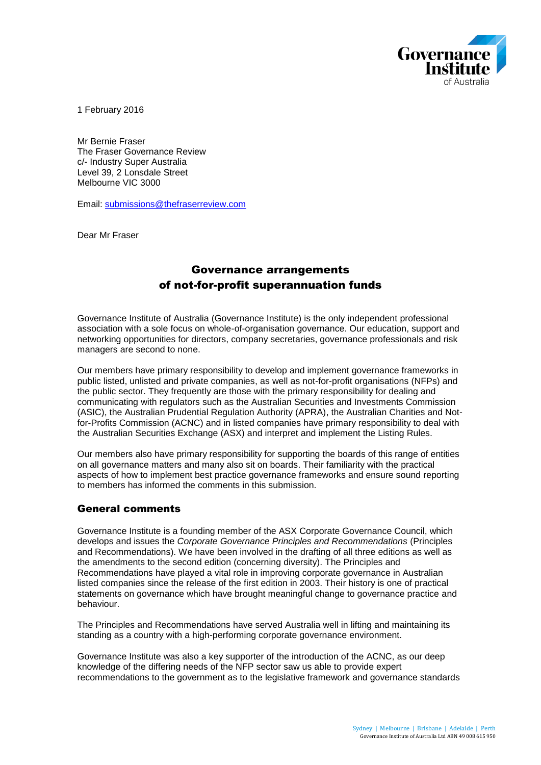

1 February 2016

Mr Bernie Fraser The Fraser Governance Review c/- Industry Super Australia Level 39, 2 Lonsdale Street Melbourne VIC 3000

Email: [submissions@thefraserreview.com](mailto:submissions@thefraserreview.com)

Dear Mr Fraser

# Governance arrangements of not-for-profit superannuation funds

Governance Institute of Australia (Governance Institute) is the only independent professional association with a sole focus on whole-of-organisation governance. Our education, support and networking opportunities for directors, company secretaries, governance professionals and risk managers are second to none.

Our members have primary responsibility to develop and implement governance frameworks in public listed, unlisted and private companies, as well as not-for-profit organisations (NFPs) and the public sector. They frequently are those with the primary responsibility for dealing and communicating with regulators such as the Australian Securities and Investments Commission (ASIC), the Australian Prudential Regulation Authority (APRA), the Australian Charities and Notfor-Profits Commission (ACNC) and in listed companies have primary responsibility to deal with the Australian Securities Exchange (ASX) and interpret and implement the Listing Rules.

Our members also have primary responsibility for supporting the boards of this range of entities on all governance matters and many also sit on boards. Their familiarity with the practical aspects of how to implement best practice governance frameworks and ensure sound reporting to members has informed the comments in this submission.

### General comments

Governance Institute is a founding member of the ASX Corporate Governance Council, which develops and issues the *Corporate Governance Principles and Recommendations* (Principles and Recommendations). We have been involved in the drafting of all three editions as well as the amendments to the second edition (concerning diversity). The Principles and Recommendations have played a vital role in improving corporate governance in Australian listed companies since the release of the first edition in 2003. Their history is one of practical statements on governance which have brought meaningful change to governance practice and behaviour.

The Principles and Recommendations have served Australia well in lifting and maintaining its standing as a country with a high-performing corporate governance environment.

Governance Institute was also a key supporter of the introduction of the ACNC, as our deep knowledge of the differing needs of the NFP sector saw us able to provide expert recommendations to the government as to the legislative framework and governance standards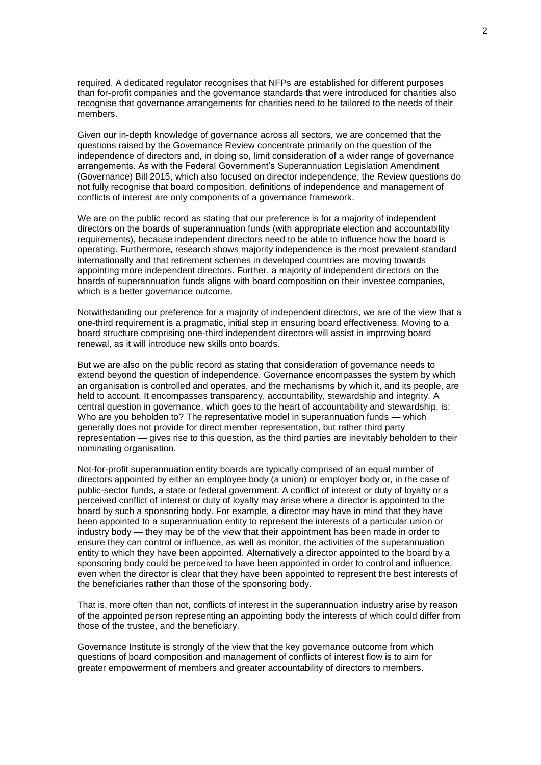required. A dedicated regulator recognises that NFPs are established for different purposes than for-profit companies and the governance standards that were introduced for charities also recognise that governance arrangements for charities need to be tailored to the needs of their members.

Given our in-depth knowledge of governance across all sectors, we are concerned that the questions raised by the Governance Review concentrate primarily on the question of the independence of directors and, in doing so, limit consideration of a wider range of governance arrangements. As with the Federal Government's Superannuation Legislation Amendment (Governance) Bill 2015, which also focused on director independence, the Review questions do not fully recognise that board composition, definitions of independence and management of conflicts of interest are only components of a governance framework.

We are on the public record as stating that our preference is for a majority of independent directors on the boards of superannuation funds (with appropriate election and accountability requirements), because independent directors need to be able to influence how the board is operating. Furthermore, research shows majority independence is the most prevalent standard internationally and that retirement schemes in developed countries are moving towards appointing more independent directors. Further, a majority of independent directors on the boards of superannuation funds aligns with board composition on their investee companies, which is a better governance outcome.

Notwithstanding our preference for a majority of independent directors, we are of the view that a one-third requirement is a pragmatic, initial step in ensuring board effectiveness. Moving to a board structure comprising one-third independent directors will assist in improving board renewal, as it will introduce new skills onto boards.

But we are also on the public record as stating that consideration of governance needs to extend beyond the question of independence. Governance encompasses the system by which an organisation is controlled and operates, and the mechanisms by which it, and its people, are held to account. It encompasses transparency, accountability, stewardship and integrity. A central question in governance, which goes to the heart of accountability and stewardship, is: Who are you beholden to? The representative model in superannuation funds — which generally does not provide for direct member representation, but rather third party representation — gives rise to this question, as the third parties are inevitably beholden to their nominating organisation.

Not-for-profit superannuation entity boards are typically comprised of an equal number of directors appointed by either an employee body (a union) or employer body or, in the case of public-sector funds, a state or federal government. A conflict of interest or duty of loyalty or a perceived conflict of interest or duty of loyalty may arise where a director is appointed to the board by such a sponsoring body. For example, a director may have in mind that they have been appointed to a superannuation entity to represent the interests of a particular union or industry body — they may be of the view that their appointment has been made in order to ensure they can control or influence, as well as monitor, the activities of the superannuation entity to which they have been appointed. Alternatively a director appointed to the board by a sponsoring body could be perceived to have been appointed in order to control and influence, even when the director is clear that they have been appointed to represent the best interests of the beneficiaries rather than those of the sponsoring body.

That is, more often than not, conflicts of interest in the superannuation industry arise by reason of the appointed person representing an appointing body the interests of which could differ from those of the trustee, and the beneficiary.

Governance Institute is strongly of the view that the key governance outcome from which questions of board composition and management of conflicts of interest flow is to aim for greater empowerment of members and greater accountability of directors to members.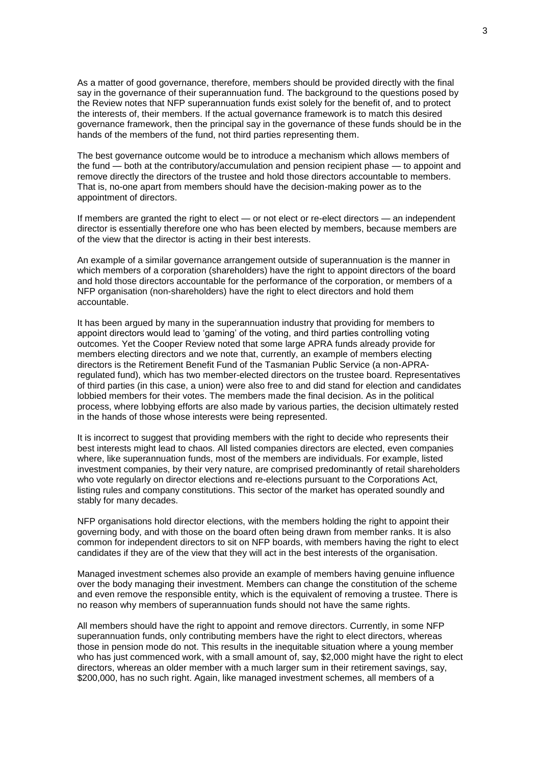As a matter of good governance, therefore, members should be provided directly with the final say in the governance of their superannuation fund. The background to the questions posed by the Review notes that NFP superannuation funds exist solely for the benefit of, and to protect the interests of, their members. If the actual governance framework is to match this desired governance framework, then the principal say in the governance of these funds should be in the hands of the members of the fund, not third parties representing them.

The best governance outcome would be to introduce a mechanism which allows members of the fund — both at the contributory/accumulation and pension recipient phase — to appoint and remove directly the directors of the trustee and hold those directors accountable to members. That is, no-one apart from members should have the decision-making power as to the appointment of directors.

If members are granted the right to elect — or not elect or re-elect directors — an independent director is essentially therefore one who has been elected by members, because members are of the view that the director is acting in their best interests.

An example of a similar governance arrangement outside of superannuation is the manner in which members of a corporation (shareholders) have the right to appoint directors of the board and hold those directors accountable for the performance of the corporation, or members of a NFP organisation (non-shareholders) have the right to elect directors and hold them accountable.

It has been argued by many in the superannuation industry that providing for members to appoint directors would lead to 'gaming' of the voting, and third parties controlling voting outcomes. Yet the Cooper Review noted that some large APRA funds already provide for members electing directors and we note that, currently, an example of members electing directors is the Retirement Benefit Fund of the Tasmanian Public Service (a non-APRAregulated fund), which has two member-elected directors on the trustee board. Representatives of third parties (in this case, a union) were also free to and did stand for election and candidates lobbied members for their votes. The members made the final decision. As in the political process, where lobbying efforts are also made by various parties, the decision ultimately rested in the hands of those whose interests were being represented.

It is incorrect to suggest that providing members with the right to decide who represents their best interests might lead to chaos. All listed companies directors are elected, even companies where, like superannuation funds, most of the members are individuals. For example, listed investment companies, by their very nature, are comprised predominantly of retail shareholders who vote regularly on director elections and re-elections pursuant to the Corporations Act, listing rules and company constitutions. This sector of the market has operated soundly and stably for many decades.

NFP organisations hold director elections, with the members holding the right to appoint their governing body, and with those on the board often being drawn from member ranks. It is also common for independent directors to sit on NFP boards, with members having the right to elect candidates if they are of the view that they will act in the best interests of the organisation.

Managed investment schemes also provide an example of members having genuine influence over the body managing their investment. Members can change the constitution of the scheme and even remove the responsible entity, which is the equivalent of removing a trustee. There is no reason why members of superannuation funds should not have the same rights.

All members should have the right to appoint and remove directors. Currently, in some NFP superannuation funds, only contributing members have the right to elect directors, whereas those in pension mode do not. This results in the inequitable situation where a young member who has just commenced work, with a small amount of, say, \$2,000 might have the right to elect directors, whereas an older member with a much larger sum in their retirement savings, say, \$200,000, has no such right. Again, like managed investment schemes, all members of a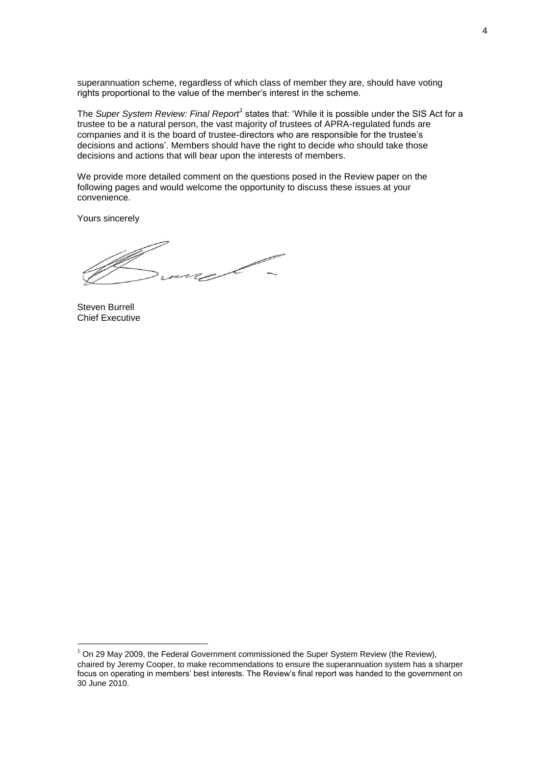superannuation scheme, regardless of which class of member they are, should have voting rights proportional to the value of the member's interest in the scheme.

The *Super System Review: Final Report<sup>1</sup>* states that: 'While it is possible under the SIS Act for a trustee to be a natural person, the vast majority of trustees of APRA-regulated funds are companies and it is the board of trustee‐directors who are responsible for the trustee's decisions and actions'. Members should have the right to decide who should take those decisions and actions that will bear upon the interests of members.

We provide more detailed comment on the questions posed in the Review paper on the following pages and would welcome the opportunity to discuss these issues at your convenience.

Yours sincerely

 $\diagup$ re  $\sim$ 

Steven Burrell Chief Executive

<u>.</u>

<sup>1</sup> On 29 May 2009, the Federal Government commissioned the Super System Review (the Review), chaired by Jeremy Cooper, to make recommendations to ensure the superannuation system has a sharper focus on operating in members' best interests. The Review's final report was handed to the government on 30 June 2010.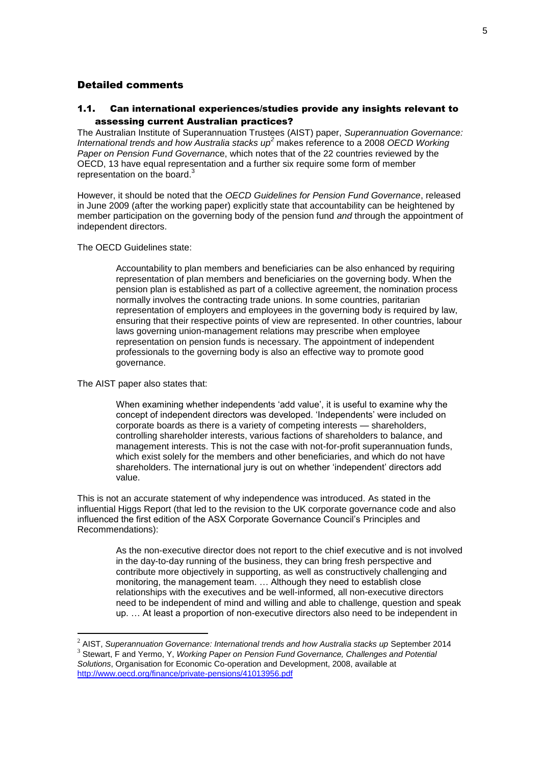## Detailed comments

## 1.1. Can international experiences/studies provide any insights relevant to assessing current Australian practices?

The Australian Institute of Superannuation Trustees (AIST) paper, *Superannuation Governance: International trends and how Australia stacks up<sup>2</sup>* makes reference to a 2008 *OECD Working Paper on Pension Fund Governan*ce, which notes that of the 22 countries reviewed by the OECD, 13 have equal representation and a further six require some form of member representation on the board.<sup>3</sup>

However, it should be noted that the *OECD Guidelines for Pension Fund Governance*, released in June 2009 (after the working paper) explicitly state that accountability can be heightened by member participation on the governing body of the pension fund *and* through the appointment of independent directors.

The OECD Guidelines state:

Accountability to plan members and beneficiaries can be also enhanced by requiring representation of plan members and beneficiaries on the governing body. When the pension plan is established as part of a collective agreement, the nomination process normally involves the contracting trade unions. In some countries, paritarian representation of employers and employees in the governing body is required by law, ensuring that their respective points of view are represented. In other countries, labour laws governing union-management relations may prescribe when employee representation on pension funds is necessary. The appointment of independent professionals to the governing body is also an effective way to promote good governance.

The AIST paper also states that:

1

When examining whether independents 'add value', it is useful to examine why the concept of independent directors was developed. 'Independents' were included on corporate boards as there is a variety of competing interests — shareholders, controlling shareholder interests, various factions of shareholders to balance, and management interests. This is not the case with not-for-profit superannuation funds, which exist solely for the members and other beneficiaries, and which do not have shareholders. The international jury is out on whether 'independent' directors add value.

This is not an accurate statement of why independence was introduced. As stated in the influential Higgs Report (that led to the revision to the UK corporate governance code and also influenced the first edition of the ASX Corporate Governance Council's Principles and Recommendations):

As the non-executive director does not report to the chief executive and is not involved in the day-to-day running of the business, they can bring fresh perspective and contribute more objectively in supporting, as well as constructively challenging and monitoring, the management team. … Although they need to establish close relationships with the executives and be well-informed, all non-executive directors need to be independent of mind and willing and able to challenge, question and speak up. … At least a proportion of non-executive directors also need to be independent in

<sup>2</sup> AIST, *Superannuation Governance: International trends and how Australia stacks up* September 2014 3 Stewart, F and Yermo, Y, *Working Paper on Pension Fund Governance, Challenges and Potential Solutions*, Organisation for Economic Co-operation and Development, 2008, available at <http://www.oecd.org/finance/private-pensions/41013956.pdf>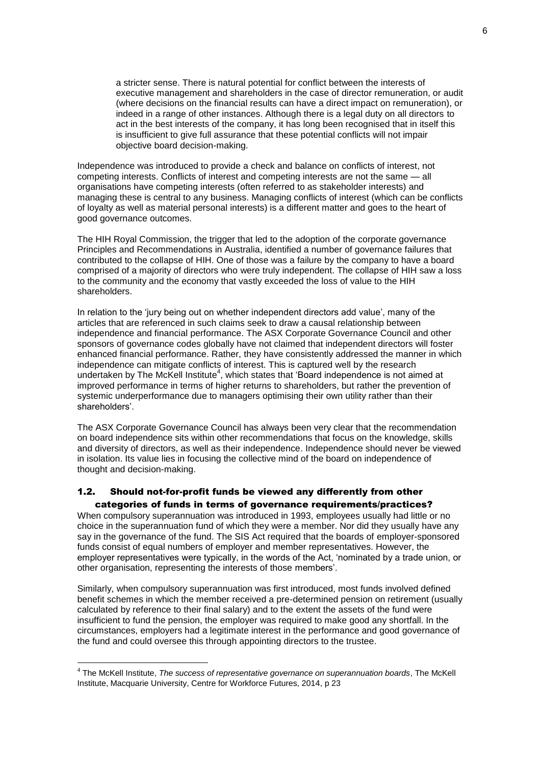a stricter sense. There is natural potential for conflict between the interests of executive management and shareholders in the case of director remuneration, or audit (where decisions on the financial results can have a direct impact on remuneration), or indeed in a range of other instances. Although there is a legal duty on all directors to act in the best interests of the company, it has long been recognised that in itself this is insufficient to give full assurance that these potential conflicts will not impair objective board decision-making.

Independence was introduced to provide a check and balance on conflicts of interest, not competing interests. Conflicts of interest and competing interests are not the same — all organisations have competing interests (often referred to as stakeholder interests) and managing these is central to any business. Managing conflicts of interest (which can be conflicts of loyalty as well as material personal interests) is a different matter and goes to the heart of good governance outcomes.

The HIH Royal Commission, the trigger that led to the adoption of the corporate governance Principles and Recommendations in Australia, identified a number of governance failures that contributed to the collapse of HIH. One of those was a failure by the company to have a board comprised of a majority of directors who were truly independent. The collapse of HIH saw a loss to the community and the economy that vastly exceeded the loss of value to the HIH shareholders.

In relation to the 'jury being out on whether independent directors add value', many of the articles that are referenced in such claims seek to draw a causal relationship between independence and financial performance. The ASX Corporate Governance Council and other sponsors of governance codes globally have not claimed that independent directors will foster enhanced financial performance. Rather, they have consistently addressed the manner in which independence can mitigate conflicts of interest. This is captured well by the research undertaken by The McKell Institute<sup>4</sup>, which states that 'Board independence is not aimed at improved performance in terms of higher returns to shareholders, but rather the prevention of systemic underperformance due to managers optimising their own utility rather than their shareholders'.

The ASX Corporate Governance Council has always been very clear that the recommendation on board independence sits within other recommendations that focus on the knowledge, skills and diversity of directors, as well as their independence. Independence should never be viewed in isolation. Its value lies in focusing the collective mind of the board on independence of thought and decision-making.

### 1.2. Should not-for-profit funds be viewed any differently from other categories of funds in terms of governance requirements/practices?

When compulsory superannuation was introduced in 1993, employees usually had little or no choice in the superannuation fund of which they were a member. Nor did they usually have any say in the governance of the fund. The SIS Act required that the boards of employer-sponsored funds consist of equal numbers of employer and member representatives. However, the employer representatives were typically, in the words of the Act, 'nominated by a trade union, or other organisation, representing the interests of those members'.

Similarly, when compulsory superannuation was first introduced, most funds involved defined benefit schemes in which the member received a pre-determined pension on retirement (usually calculated by reference to their final salary) and to the extent the assets of the fund were insufficient to fund the pension, the employer was required to make good any shortfall. In the circumstances, employers had a legitimate interest in the performance and good governance of the fund and could oversee this through appointing directors to the trustee.

1

<sup>4</sup> The McKell Institute, *The success of representative governance on superannuation boards*, The McKell Institute, Macquarie University, Centre for Workforce Futures, 2014, p 23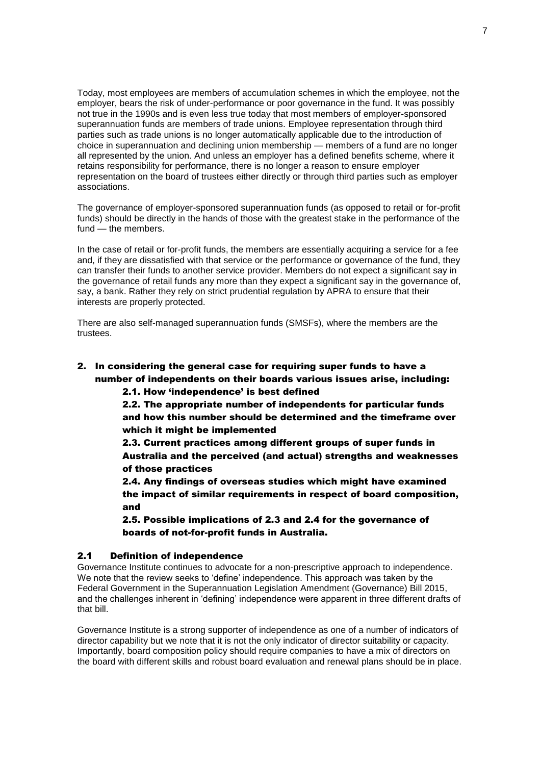Today, most employees are members of accumulation schemes in which the employee, not the employer, bears the risk of under-performance or poor governance in the fund. It was possibly not true in the 1990s and is even less true today that most members of employer-sponsored superannuation funds are members of trade unions. Employee representation through third parties such as trade unions is no longer automatically applicable due to the introduction of choice in superannuation and declining union membership — members of a fund are no longer all represented by the union. And unless an employer has a defined benefits scheme, where it retains responsibility for performance, there is no longer a reason to ensure employer representation on the board of trustees either directly or through third parties such as employer associations.

The governance of employer-sponsored superannuation funds (as opposed to retail or for-profit funds) should be directly in the hands of those with the greatest stake in the performance of the fund — the members.

In the case of retail or for-profit funds, the members are essentially acquiring a service for a fee and, if they are dissatisfied with that service or the performance or governance of the fund, they can transfer their funds to another service provider. Members do not expect a significant say in the governance of retail funds any more than they expect a significant say in the governance of, say, a bank. Rather they rely on strict prudential regulation by APRA to ensure that their interests are properly protected.

There are also self-managed superannuation funds (SMSFs), where the members are the trustees.

## 2. In considering the general case for requiring super funds to have a number of independents on their boards various issues arise, including:

2.1. How 'independence' is best defined

2.2. The appropriate number of independents for particular funds and how this number should be determined and the timeframe over which it might be implemented

2.3. Current practices among different groups of super funds in Australia and the perceived (and actual) strengths and weaknesses of those practices

2.4. Any findings of overseas studies which might have examined the impact of similar requirements in respect of board composition, and

2.5. Possible implications of 2.3 and 2.4 for the governance of boards of not-for-profit funds in Australia.

### 2.1 Definition of independence

Governance Institute continues to advocate for a non-prescriptive approach to independence. We note that the review seeks to 'define' independence. This approach was taken by the Federal Government in the Superannuation Legislation Amendment (Governance) Bill 2015, and the challenges inherent in 'defining' independence were apparent in three different drafts of that bill.

Governance Institute is a strong supporter of independence as one of a number of indicators of director capability but we note that it is not the only indicator of director suitability or capacity. Importantly, board composition policy should require companies to have a mix of directors on the board with different skills and robust board evaluation and renewal plans should be in place.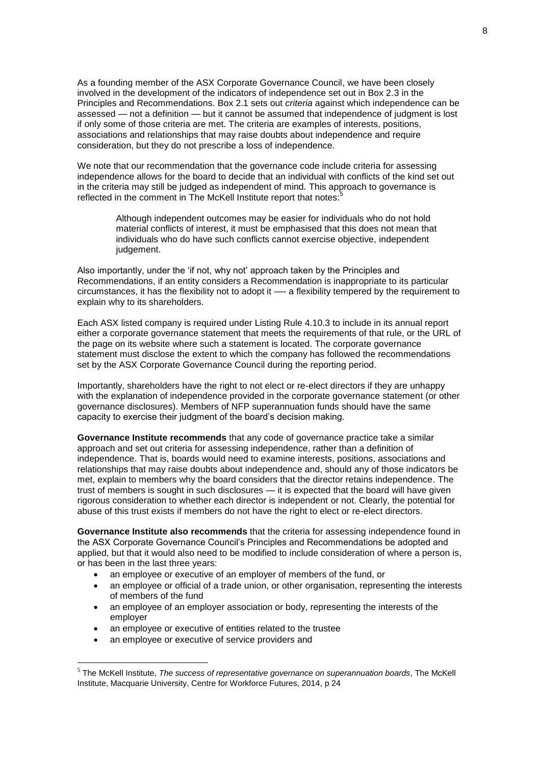As a founding member of the ASX Corporate Governance Council, we have been closely involved in the development of the indicators of independence set out in Box 2.3 in the Principles and Recommendations. Box 2.1 sets out *criteria* against which independence can be assessed — not a definition — but it cannot be assumed that independence of judgment is lost if only some of those criteria are met. The criteria are examples of interests, positions, associations and relationships that may raise doubts about independence and require consideration, but they do not prescribe a loss of independence.

We note that our recommendation that the governance code include criteria for assessing independence allows for the board to decide that an individual with conflicts of the kind set out in the criteria may still be judged as independent of mind. This approach to governance is reflected in the comment in The McKell Institute report that notes:<sup>5</sup>

Although independent outcomes may be easier for individuals who do not hold material conflicts of interest, it must be emphasised that this does not mean that individuals who do have such conflicts cannot exercise objective, independent judgement.

Also importantly, under the 'if not, why not' approach taken by the Principles and Recommendations, if an entity considers a Recommendation is inappropriate to its particular circumstances, it has the flexibility not to adopt it —- a flexibility tempered by the requirement to explain why to its shareholders.

Each ASX listed company is required under Listing Rule 4.10.3 to include in its annual report either a corporate governance statement that meets the requirements of that rule, or the URL of the page on its website where such a statement is located. The corporate governance statement must disclose the extent to which the company has followed the recommendations set by the ASX Corporate Governance Council during the reporting period.

Importantly, shareholders have the right to not elect or re-elect directors if they are unhappy with the explanation of independence provided in the corporate governance statement (or other governance disclosures). Members of NFP superannuation funds should have the same capacity to exercise their judgment of the board's decision making.

**Governance Institute recommends** that any code of governance practice take a similar approach and set out criteria for assessing independence, rather than a definition of independence. That is, boards would need to examine interests, positions, associations and relationships that may raise doubts about independence and, should any of those indicators be met, explain to members why the board considers that the director retains independence. The trust of members is sought in such disclosures — it is expected that the board will have given rigorous consideration to whether each director is independent or not. Clearly, the potential for abuse of this trust exists if members do not have the right to elect or re-elect directors.

**Governance Institute also recommends** that the criteria for assessing independence found in the ASX Corporate Governance Council's Principles and Recommendations be adopted and applied, but that it would also need to be modified to include consideration of where a person is, or has been in the last three years:

- an employee or executive of an employer of members of the fund, or
- an employee or official of a trade union, or other organisation, representing the interests of members of the fund
- an employee of an employer association or body, representing the interests of the employer
- an employee or executive of entities related to the trustee
- an employee or executive of service providers and

1

<sup>5</sup> The McKell Institute, *The success of representative governance on superannuation boards*, The McKell Institute, Macquarie University, Centre for Workforce Futures, 2014, p 24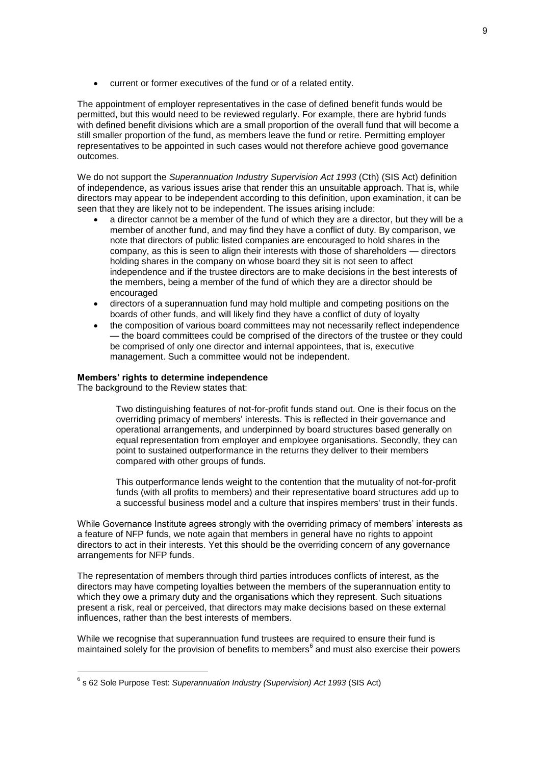current or former executives of the fund or of a related entity.

The appointment of employer representatives in the case of defined benefit funds would be permitted, but this would need to be reviewed regularly. For example, there are hybrid funds with defined benefit divisions which are a small proportion of the overall fund that will become a still smaller proportion of the fund, as members leave the fund or retire. Permitting employer representatives to be appointed in such cases would not therefore achieve good governance outcomes.

We do not support the *Superannuation Industry Supervision Act 1993* (Cth) (SIS Act) definition of independence, as various issues arise that render this an unsuitable approach. That is, while directors may appear to be independent according to this definition, upon examination, it can be seen that they are likely not to be independent. The issues arising include:

- a director cannot be a member of the fund of which they are a director, but they will be a member of another fund, and may find they have a conflict of duty. By comparison, we note that directors of public listed companies are encouraged to hold shares in the company, as this is seen to align their interests with those of shareholders — directors holding shares in the company on whose board they sit is not seen to affect independence and if the trustee directors are to make decisions in the best interests of the members, being a member of the fund of which they are a director should be encouraged
- directors of a superannuation fund may hold multiple and competing positions on the boards of other funds, and will likely find they have a conflict of duty of loyalty
- the composition of various board committees may not necessarily reflect independence — the board committees could be comprised of the directors of the trustee or they could be comprised of only one director and internal appointees, that is, executive management. Such a committee would not be independent.

### **Members' rights to determine independence**

The background to the Review states that:

1

Two distinguishing features of not-for-profit funds stand out. One is their focus on the overriding primacy of members' interests. This is reflected in their governance and operational arrangements, and underpinned by board structures based generally on equal representation from employer and employee organisations. Secondly, they can point to sustained outperformance in the returns they deliver to their members compared with other groups of funds.

This outperformance lends weight to the contention that the mutuality of not-for-profit funds (with all profits to members) and their representative board structures add up to a successful business model and a culture that inspires members' trust in their funds.

While Governance Institute agrees strongly with the overriding primacy of members' interests as a feature of NFP funds, we note again that members in general have no rights to appoint directors to act in their interests. Yet this should be the overriding concern of any governance arrangements for NFP funds.

The representation of members through third parties introduces conflicts of interest, as the directors may have competing loyalties between the members of the superannuation entity to which they owe a primary duty and the organisations which they represent. Such situations present a risk, real or perceived, that directors may make decisions based on these external influences, rather than the best interests of members.

While we recognise that superannuation fund trustees are required to ensure their fund is maintained solely for the provision of benefits to members<sup>6</sup> and must also exercise their powers

<sup>6</sup> s 62 Sole Purpose Test: *Superannuation Industry (Supervision) Act 1993* (SIS Act)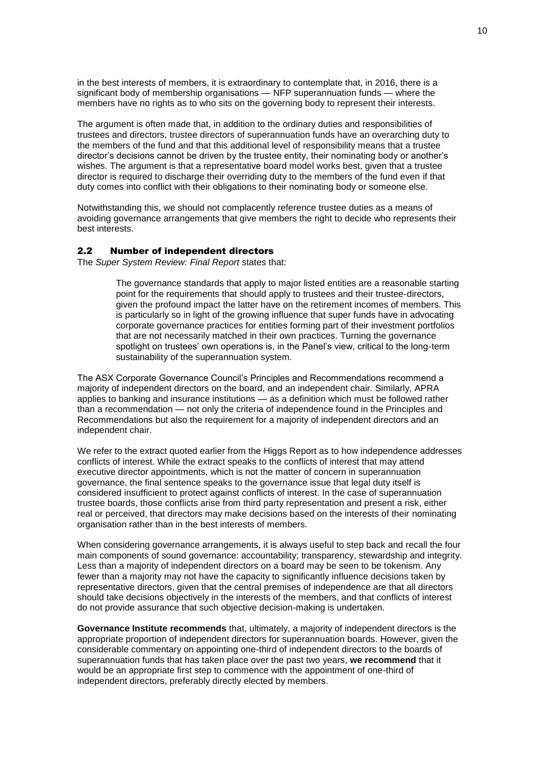in the best interests of members, it is extraordinary to contemplate that, in 2016, there is a significant body of membership organisations — NFP superannuation funds — where the members have no rights as to who sits on the governing body to represent their interests.

The argument is often made that, in addition to the ordinary duties and responsibilities of trustees and directors, trustee directors of superannuation funds have an overarching duty to the members of the fund and that this additional level of responsibility means that a trustee director's decisions cannot be driven by the trustee entity, their nominating body or another's wishes. The argument is that a representative board model works best, given that a trustee director is required to discharge their overriding duty to the members of the fund even if that duty comes into conflict with their obligations to their nominating body or someone else.

Notwithstanding this, we should not complacently reference trustee duties as a means of avoiding governance arrangements that give members the right to decide who represents their best interests.

#### 2.2 Number of independent directors

The *Super System Review: Final Report* states that:

The governance standards that apply to major listed entities are a reasonable starting point for the requirements that should apply to trustees and their trustee-directors, given the profound impact the latter have on the retirement incomes of members. This is particularly so in light of the growing influence that super funds have in advocating corporate governance practices for entities forming part of their investment portfolios that are not necessarily matched in their own practices. Turning the governance spotlight on trustees' own operations is, in the Panel's view, critical to the long-term sustainability of the superannuation system.

The ASX Corporate Governance Council's Principles and Recommendations recommend a majority of independent directors on the board, and an independent chair. Similarly, APRA applies to banking and insurance institutions — as a definition which must be followed rather than a recommendation — not only the criteria of independence found in the Principles and Recommendations but also the requirement for a majority of independent directors and an independent chair.

We refer to the extract quoted earlier from the Higgs Report as to how independence addresses conflicts of interest. While the extract speaks to the conflicts of interest that may attend executive director appointments, which is not the matter of concern in superannuation governance, the final sentence speaks to the governance issue that legal duty itself is considered insufficient to protect against conflicts of interest. In the case of superannuation trustee boards, those conflicts arise from third party representation and present a risk, either real or perceived, that directors may make decisions based on the interests of their nominating organisation rather than in the best interests of members.

When considering governance arrangements, it is always useful to step back and recall the four main components of sound governance: accountability; transparency, stewardship and integrity. Less than a majority of independent directors on a board may be seen to be tokenism. Any fewer than a majority may not have the capacity to significantly influence decisions taken by representative directors, given that the central premises of independence are that all directors should take decisions objectively in the interests of the members, and that conflicts of interest do not provide assurance that such objective decision-making is undertaken.

**Governance Institute recommends** that, ultimately, a majority of independent directors is the appropriate proportion of independent directors for superannuation boards. However, given the considerable commentary on appointing one-third of independent directors to the boards of superannuation funds that has taken place over the past two years, **we recommend** that it would be an appropriate first step to commence with the appointment of one-third of independent directors, preferably directly elected by members.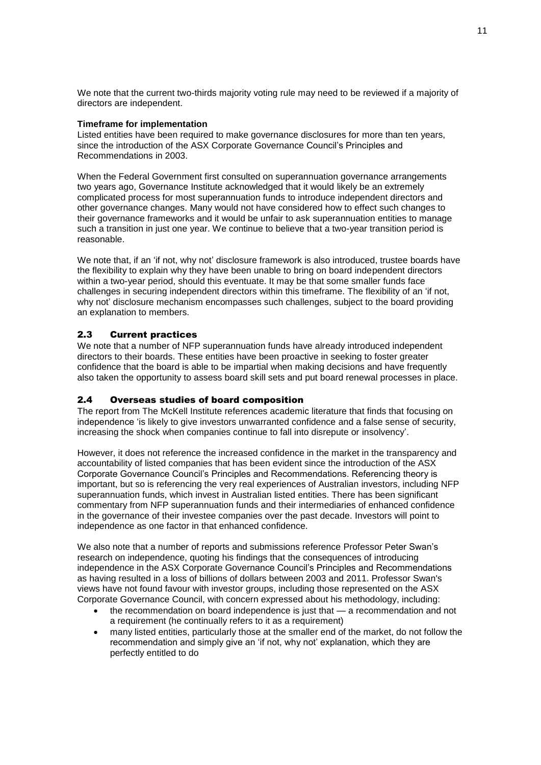We note that the current two-thirds majority voting rule may need to be reviewed if a majority of directors are independent.

### **Timeframe for implementation**

Listed entities have been required to make governance disclosures for more than ten years, since the introduction of the ASX Corporate Governance Council's Principles and Recommendations in 2003.

When the Federal Government first consulted on superannuation governance arrangements two years ago, Governance Institute acknowledged that it would likely be an extremely complicated process for most superannuation funds to introduce independent directors and other governance changes. Many would not have considered how to effect such changes to their governance frameworks and it would be unfair to ask superannuation entities to manage such a transition in just one year. We continue to believe that a two-year transition period is reasonable.

We note that, if an 'if not, why not' disclosure framework is also introduced, trustee boards have the flexibility to explain why they have been unable to bring on board independent directors within a two-year period, should this eventuate. It may be that some smaller funds face challenges in securing independent directors within this timeframe. The flexibility of an 'if not, why not' disclosure mechanism encompasses such challenges, subject to the board providing an explanation to members.

### 2.3 Current practices

We note that a number of NFP superannuation funds have already introduced independent directors to their boards. These entities have been proactive in seeking to foster greater confidence that the board is able to be impartial when making decisions and have frequently also taken the opportunity to assess board skill sets and put board renewal processes in place.

### 2.4 Overseas studies of board composition

The report from The McKell Institute references academic literature that finds that focusing on independence 'is likely to give investors unwarranted confidence and a false sense of security, increasing the shock when companies continue to fall into disrepute or insolvency'.

However, it does not reference the increased confidence in the market in the transparency and accountability of listed companies that has been evident since the introduction of the ASX Corporate Governance Council's Principles and Recommendations. Referencing theory is important, but so is referencing the very real experiences of Australian investors, including NFP superannuation funds, which invest in Australian listed entities. There has been significant commentary from NFP superannuation funds and their intermediaries of enhanced confidence in the governance of their investee companies over the past decade. Investors will point to independence as one factor in that enhanced confidence.

We also note that a number of reports and submissions reference Professor Peter Swan's research on independence, quoting his findings that the consequences of introducing independence in the ASX Corporate Governance Council's Principles and Recommendations as having resulted in a loss of billions of dollars between 2003 and 2011. Professor Swan's views have not found favour with investor groups, including those represented on the ASX Corporate Governance Council, with concern expressed about his methodology, including:

- the recommendation on board independence is just that a recommendation and not a requirement (he continually refers to it as a requirement)
- many listed entities, particularly those at the smaller end of the market, do not follow the recommendation and simply give an 'if not, why not' explanation, which they are perfectly entitled to do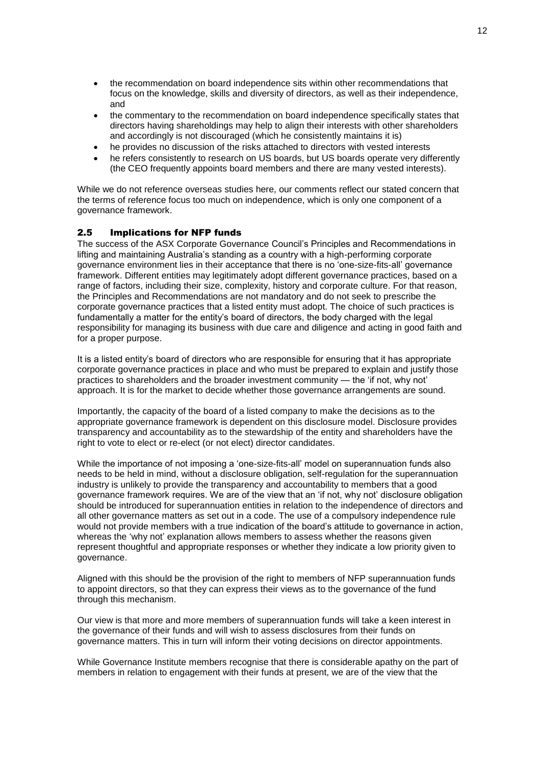- the recommendation on board independence sits within other recommendations that focus on the knowledge, skills and diversity of directors, as well as their independence, and
- the commentary to the recommendation on board independence specifically states that directors having shareholdings may help to align their interests with other shareholders and accordingly is not discouraged (which he consistently maintains it is)
- he provides no discussion of the risks attached to directors with vested interests
- he refers consistently to research on US boards, but US boards operate very differently (the CEO frequently appoints board members and there are many vested interests).

While we do not reference overseas studies here, our comments reflect our stated concern that the terms of reference focus too much on independence, which is only one component of a governance framework.

### 2.5 Implications for NFP funds

The success of the ASX Corporate Governance Council's Principles and Recommendations in lifting and maintaining Australia's standing as a country with a high-performing corporate governance environment lies in their acceptance that there is no 'one-size-fits-all' governance framework. Different entities may legitimately adopt different governance practices, based on a range of factors, including their size, complexity, history and corporate culture. For that reason, the Principles and Recommendations are not mandatory and do not seek to prescribe the corporate governance practices that a listed entity must adopt. The choice of such practices is fundamentally a matter for the entity's board of directors, the body charged with the legal responsibility for managing its business with due care and diligence and acting in good faith and for a proper purpose.

It is a listed entity's board of directors who are responsible for ensuring that it has appropriate corporate governance practices in place and who must be prepared to explain and justify those practices to shareholders and the broader investment community — the 'if not, why not' approach. It is for the market to decide whether those governance arrangements are sound.

Importantly, the capacity of the board of a listed company to make the decisions as to the appropriate governance framework is dependent on this disclosure model. Disclosure provides transparency and accountability as to the stewardship of the entity and shareholders have the right to vote to elect or re-elect (or not elect) director candidates.

While the importance of not imposing a 'one-size-fits-all' model on superannuation funds also needs to be held in mind, without a disclosure obligation, self-regulation for the superannuation industry is unlikely to provide the transparency and accountability to members that a good governance framework requires. We are of the view that an 'if not, why not' disclosure obligation should be introduced for superannuation entities in relation to the independence of directors and all other governance matters as set out in a code. The use of a compulsory independence rule would not provide members with a true indication of the board's attitude to governance in action, whereas the 'why not' explanation allows members to assess whether the reasons given represent thoughtful and appropriate responses or whether they indicate a low priority given to governance.

Aligned with this should be the provision of the right to members of NFP superannuation funds to appoint directors, so that they can express their views as to the governance of the fund through this mechanism.

Our view is that more and more members of superannuation funds will take a keen interest in the governance of their funds and will wish to assess disclosures from their funds on governance matters. This in turn will inform their voting decisions on director appointments.

While Governance Institute members recognise that there is considerable apathy on the part of members in relation to engagement with their funds at present, we are of the view that the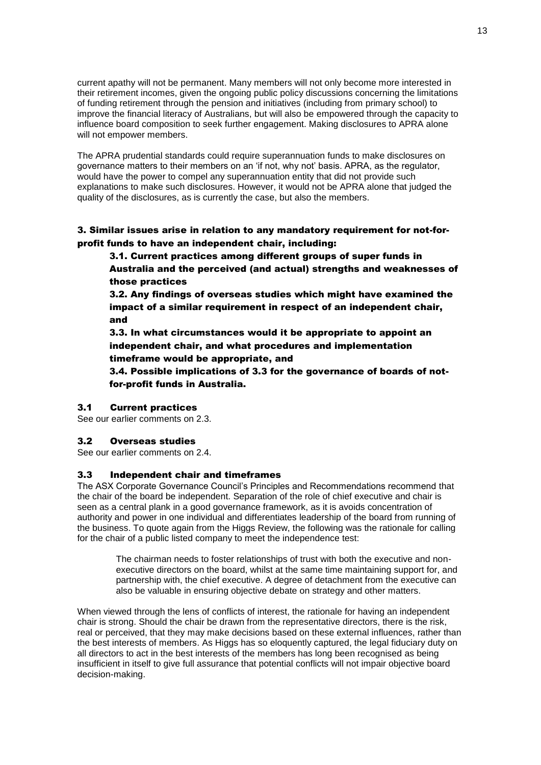current apathy will not be permanent. Many members will not only become more interested in their retirement incomes, given the ongoing public policy discussions concerning the limitations of funding retirement through the pension and initiatives (including from primary school) to improve the financial literacy of Australians, but will also be empowered through the capacity to influence board composition to seek further engagement. Making disclosures to APRA alone will not empower members.

The APRA prudential standards could require superannuation funds to make disclosures on governance matters to their members on an 'if not, why not' basis. APRA, as the regulator, would have the power to compel any superannuation entity that did not provide such explanations to make such disclosures. However, it would not be APRA alone that judged the quality of the disclosures, as is currently the case, but also the members.

3. Similar issues arise in relation to any mandatory requirement for not-forprofit funds to have an independent chair, including:

3.1. Current practices among different groups of super funds in Australia and the perceived (and actual) strengths and weaknesses of those practices

3.2. Any findings of overseas studies which might have examined the impact of a similar requirement in respect of an independent chair, and

3.3. In what circumstances would it be appropriate to appoint an independent chair, and what procedures and implementation timeframe would be appropriate, and

3.4. Possible implications of 3.3 for the governance of boards of notfor-profit funds in Australia.

### 3.1 Current practices

See our earlier comments on 2.3.

### 3.2 Overseas studies

See our earlier comments on 2.4.

### 3.3 Independent chair and timeframes

The ASX Corporate Governance Council's Principles and Recommendations recommend that the chair of the board be independent. Separation of the role of chief executive and chair is seen as a central plank in a good governance framework, as it is avoids concentration of authority and power in one individual and differentiates leadership of the board from running of the business. To quote again from the Higgs Review, the following was the rationale for calling for the chair of a public listed company to meet the independence test:

The chairman needs to foster relationships of trust with both the executive and nonexecutive directors on the board, whilst at the same time maintaining support for, and partnership with, the chief executive. A degree of detachment from the executive can also be valuable in ensuring objective debate on strategy and other matters.

When viewed through the lens of conflicts of interest, the rationale for having an independent chair is strong. Should the chair be drawn from the representative directors, there is the risk, real or perceived, that they may make decisions based on these external influences, rather than the best interests of members. As Higgs has so eloquently captured, the legal fiduciary duty on all directors to act in the best interests of the members has long been recognised as being insufficient in itself to give full assurance that potential conflicts will not impair objective board decision-making.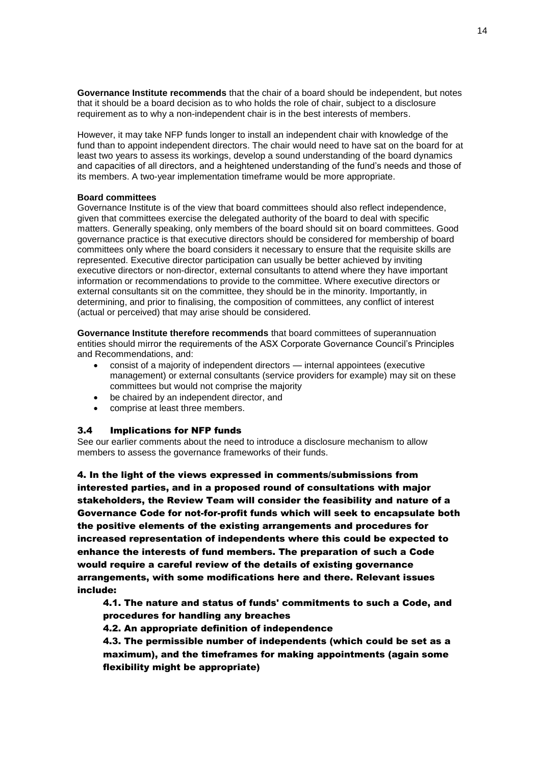**Governance Institute recommends** that the chair of a board should be independent, but notes that it should be a board decision as to who holds the role of chair, subject to a disclosure requirement as to why a non-independent chair is in the best interests of members.

However, it may take NFP funds longer to install an independent chair with knowledge of the fund than to appoint independent directors. The chair would need to have sat on the board for at least two years to assess its workings, develop a sound understanding of the board dynamics and capacities of all directors, and a heightened understanding of the fund's needs and those of its members. A two-year implementation timeframe would be more appropriate.

#### **Board committees**

Governance Institute is of the view that board committees should also reflect independence, given that committees exercise the delegated authority of the board to deal with specific matters. Generally speaking, only members of the board should sit on board committees. Good governance practice is that executive directors should be considered for membership of board committees only where the board considers it necessary to ensure that the requisite skills are represented. Executive director participation can usually be better achieved by inviting executive directors or non-director, external consultants to attend where they have important information or recommendations to provide to the committee. Where executive directors or external consultants sit on the committee, they should be in the minority. Importantly, in determining, and prior to finalising, the composition of committees, any conflict of interest (actual or perceived) that may arise should be considered.

**Governance Institute therefore recommends** that board committees of superannuation entities should mirror the requirements of the ASX Corporate Governance Council's Principles and Recommendations, and:

- consist of a majority of independent directors internal appointees (executive management) or external consultants (service providers for example) may sit on these committees but would not comprise the majority
- be chaired by an independent director, and
- comprise at least three members.

#### 3.4 Implications for NFP funds

See our earlier comments about the need to introduce a disclosure mechanism to allow members to assess the governance frameworks of their funds.

4. In the light of the views expressed in comments/submissions from interested parties, and in a proposed round of consultations with major stakeholders, the Review Team will consider the feasibility and nature of a Governance Code for not-for-profit funds which will seek to encapsulate both the positive elements of the existing arrangements and procedures for increased representation of independents where this could be expected to enhance the interests of fund members. The preparation of such a Code would require a careful review of the details of existing governance arrangements, with some modifications here and there. Relevant issues include:

4.1. The nature and status of funds' commitments to such a Code, and procedures for handling any breaches

4.2. An appropriate definition of independence

4.3. The permissible number of independents (which could be set as a maximum), and the timeframes for making appointments (again some flexibility might be appropriate)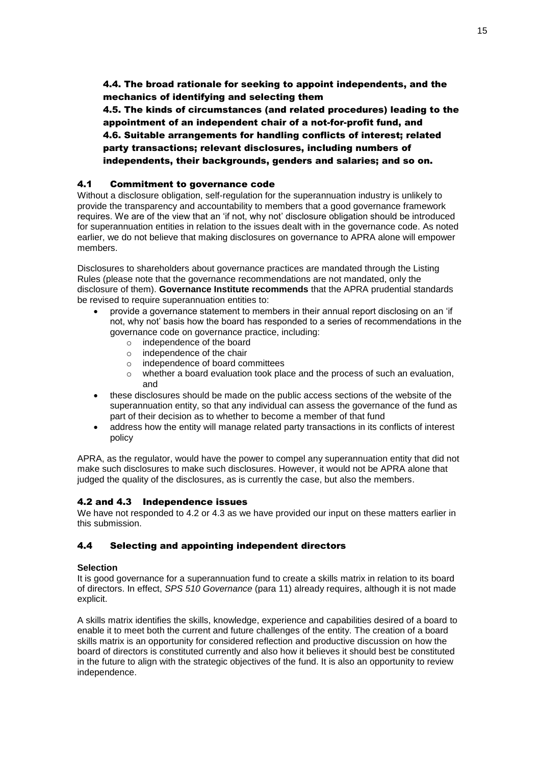4.4. The broad rationale for seeking to appoint independents, and the mechanics of identifying and selecting them

4.5. The kinds of circumstances (and related procedures) leading to the appointment of an independent chair of a not-for-profit fund, and 4.6. Suitable arrangements for handling conflicts of interest; related party transactions; relevant disclosures, including numbers of independents, their backgrounds, genders and salaries; and so on.

### 4.1 Commitment to governance code

Without a disclosure obligation, self-regulation for the superannuation industry is unlikely to provide the transparency and accountability to members that a good governance framework requires. We are of the view that an 'if not, why not' disclosure obligation should be introduced for superannuation entities in relation to the issues dealt with in the governance code. As noted earlier, we do not believe that making disclosures on governance to APRA alone will empower members.

Disclosures to shareholders about governance practices are mandated through the Listing Rules (please note that the governance recommendations are not mandated, only the disclosure of them). **Governance Institute recommends** that the APRA prudential standards be revised to require superannuation entities to:

- provide a governance statement to members in their annual report disclosing on an 'if not, why not' basis how the board has responded to a series of recommendations in the governance code on governance practice, including:
	- o independence of the board
	- o independence of the chair
	- o independence of board committees
	- $\circ$  whether a board evaluation took place and the process of such an evaluation, and
- these disclosures should be made on the public access sections of the website of the superannuation entity, so that any individual can assess the governance of the fund as part of their decision as to whether to become a member of that fund
- address how the entity will manage related party transactions in its conflicts of interest policy

APRA, as the regulator, would have the power to compel any superannuation entity that did not make such disclosures to make such disclosures. However, it would not be APRA alone that judged the quality of the disclosures, as is currently the case, but also the members.

### 4.2 and 4.3 Independence issues

We have not responded to 4.2 or 4.3 as we have provided our input on these matters earlier in this submission.

### 4.4 Selecting and appointing independent directors

#### **Selection**

It is good governance for a superannuation fund to create a skills matrix in relation to its board of directors. In effect, *SPS 510 Governance* (para 11) already requires, although it is not made explicit.

A skills matrix identifies the skills, knowledge, experience and capabilities desired of a board to enable it to meet both the current and future challenges of the entity. The creation of a board skills matrix is an opportunity for considered reflection and productive discussion on how the board of directors is constituted currently and also how it believes it should best be constituted in the future to align with the strategic objectives of the fund. It is also an opportunity to review independence.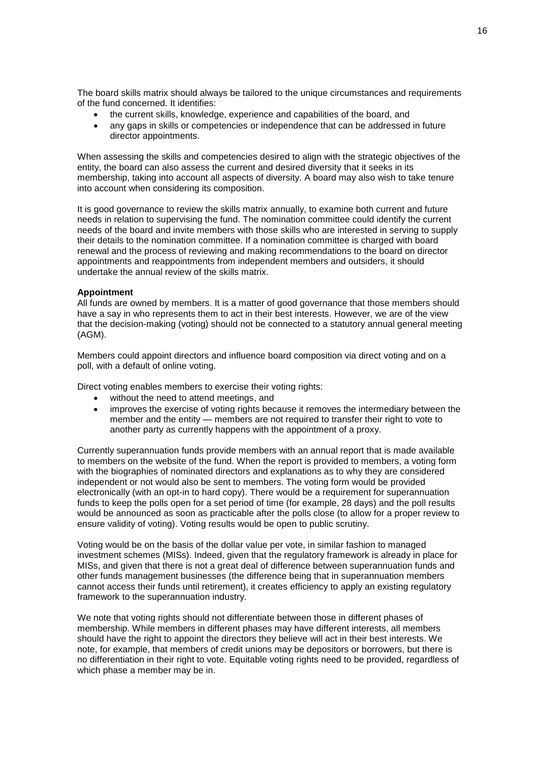The board skills matrix should always be tailored to the unique circumstances and requirements of the fund concerned. It identifies:

- the current skills, knowledge, experience and capabilities of the board, and
- any gaps in skills or competencies or independence that can be addressed in future director appointments.

When assessing the skills and competencies desired to align with the strategic objectives of the entity, the board can also assess the current and desired diversity that it seeks in its membership, taking into account all aspects of diversity. A board may also wish to take tenure into account when considering its composition.

It is good governance to review the skills matrix annually, to examine both current and future needs in relation to supervising the fund. The nomination committee could identify the current needs of the board and invite members with those skills who are interested in serving to supply their details to the nomination committee. If a nomination committee is charged with board renewal and the process of reviewing and making recommendations to the board on director appointments and reappointments from independent members and outsiders, it should undertake the annual review of the skills matrix.

#### **Appointment**

All funds are owned by members. It is a matter of good governance that those members should have a say in who represents them to act in their best interests. However, we are of the view that the decision-making (voting) should not be connected to a statutory annual general meeting (AGM).

Members could appoint directors and influence board composition via direct voting and on a poll, with a default of online voting.

Direct voting enables members to exercise their voting rights:

- without the need to attend meetings, and
- improves the exercise of voting rights because it removes the intermediary between the member and the entity — members are not required to transfer their right to vote to another party as currently happens with the appointment of a proxy.

Currently superannuation funds provide members with an annual report that is made available to members on the website of the fund. When the report is provided to members, a voting form with the biographies of nominated directors and explanations as to why they are considered independent or not would also be sent to members. The voting form would be provided electronically (with an opt-in to hard copy). There would be a requirement for superannuation funds to keep the polls open for a set period of time (for example, 28 days) and the poll results would be announced as soon as practicable after the polls close (to allow for a proper review to ensure validity of voting). Voting results would be open to public scrutiny.

Voting would be on the basis of the dollar value per vote, in similar fashion to managed investment schemes (MISs). Indeed, given that the regulatory framework is already in place for MISs, and given that there is not a great deal of difference between superannuation funds and other funds management businesses (the difference being that in superannuation members cannot access their funds until retirement), it creates efficiency to apply an existing regulatory framework to the superannuation industry.

We note that voting rights should not differentiate between those in different phases of membership. While members in different phases may have different interests, all members should have the right to appoint the directors they believe will act in their best interests. We note, for example, that members of credit unions may be depositors or borrowers, but there is no differentiation in their right to vote. Equitable voting rights need to be provided, regardless of which phase a member may be in.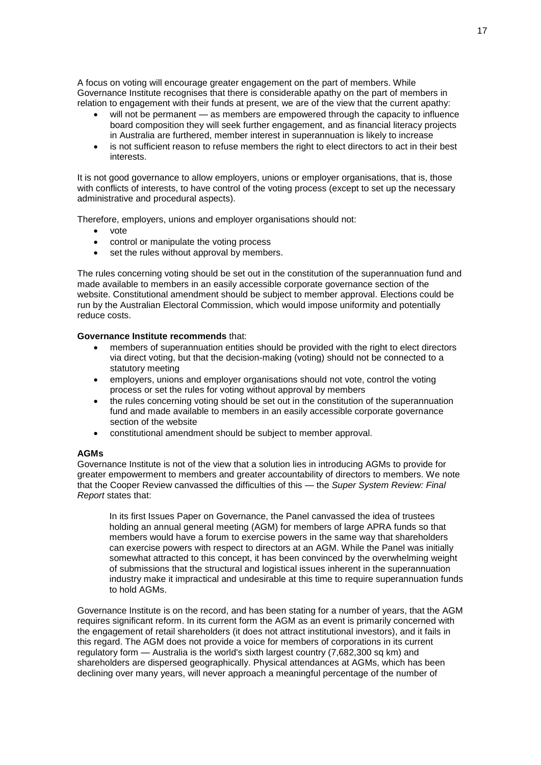A focus on voting will encourage greater engagement on the part of members. While Governance Institute recognises that there is considerable apathy on the part of members in relation to engagement with their funds at present, we are of the view that the current apathy:

- will not be permanent as members are empowered through the capacity to influence board composition they will seek further engagement, and as financial literacy projects in Australia are furthered, member interest in superannuation is likely to increase
- is not sufficient reason to refuse members the right to elect directors to act in their best interests.

It is not good governance to allow employers, unions or employer organisations, that is, those with conflicts of interests, to have control of the voting process (except to set up the necessary administrative and procedural aspects).

Therefore, employers, unions and employer organisations should not:

- vote
- control or manipulate the voting process
- set the rules without approval by members.

The rules concerning voting should be set out in the constitution of the superannuation fund and made available to members in an easily accessible corporate governance section of the website. Constitutional amendment should be subject to member approval. Elections could be run by the Australian Electoral Commission, which would impose uniformity and potentially reduce costs.

#### **Governance Institute recommends** that:

- members of superannuation entities should be provided with the right to elect directors via direct voting, but that the decision-making (voting) should not be connected to a statutory meeting
- employers, unions and employer organisations should not vote, control the voting process or set the rules for voting without approval by members
- the rules concerning voting should be set out in the constitution of the superannuation fund and made available to members in an easily accessible corporate governance section of the website
- constitutional amendment should be subject to member approval.

#### **AGMs**

Governance Institute is not of the view that a solution lies in introducing AGMs to provide for greater empowerment to members and greater accountability of directors to members. We note that the Cooper Review canvassed the difficulties of this — the *Super System Review: Final Report* states that:

In its first Issues Paper on Governance, the Panel canvassed the idea of trustees holding an annual general meeting (AGM) for members of large APRA funds so that members would have a forum to exercise powers in the same way that shareholders can exercise powers with respect to directors at an AGM. While the Panel was initially somewhat attracted to this concept, it has been convinced by the overwhelming weight of submissions that the structural and logistical issues inherent in the superannuation industry make it impractical and undesirable at this time to require superannuation funds to hold AGMs.

Governance Institute is on the record, and has been stating for a number of years, that the AGM requires significant reform. In its current form the AGM as an event is primarily concerned with the engagement of retail shareholders (it does not attract institutional investors), and it fails in this regard. The AGM does not provide a voice for members of corporations in its current regulatory form  $-$  Australia is the world's sixth largest country (7,682,300 sq km) and shareholders are dispersed geographically. Physical attendances at AGMs, which has been declining over many years, will never approach a meaningful percentage of the number of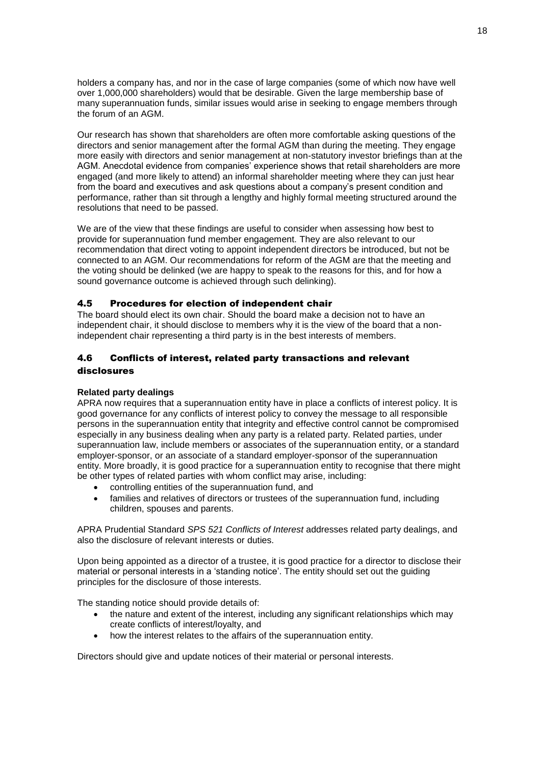holders a company has, and nor in the case of large companies (some of which now have well over 1,000,000 shareholders) would that be desirable. Given the large membership base of many superannuation funds, similar issues would arise in seeking to engage members through the forum of an AGM.

Our research has shown that shareholders are often more comfortable asking questions of the directors and senior management after the formal AGM than during the meeting. They engage more easily with directors and senior management at non-statutory investor briefings than at the AGM. Anecdotal evidence from companies' experience shows that retail shareholders are more engaged (and more likely to attend) an informal shareholder meeting where they can just hear from the board and executives and ask questions about a company's present condition and performance, rather than sit through a lengthy and highly formal meeting structured around the resolutions that need to be passed.

We are of the view that these findings are useful to consider when assessing how best to provide for superannuation fund member engagement. They are also relevant to our recommendation that direct voting to appoint independent directors be introduced, but not be connected to an AGM. Our recommendations for reform of the AGM are that the meeting and the voting should be delinked (we are happy to speak to the reasons for this, and for how a sound governance outcome is achieved through such delinking).

### 4.5 Procedures for election of independent chair

The board should elect its own chair. Should the board make a decision not to have an independent chair, it should disclose to members why it is the view of the board that a nonindependent chair representing a third party is in the best interests of members.

## 4.6 Conflicts of interest, related party transactions and relevant disclosures

#### **Related party dealings**

APRA now requires that a superannuation entity have in place a conflicts of interest policy. It is good governance for any conflicts of interest policy to convey the message to all responsible persons in the superannuation entity that integrity and effective control cannot be compromised especially in any business dealing when any party is a related party. Related parties, under superannuation law, include members or associates of the superannuation entity, or a standard employer-sponsor, or an associate of a standard employer-sponsor of the superannuation entity. More broadly, it is good practice for a superannuation entity to recognise that there might be other types of related parties with whom conflict may arise, including:

- controlling entities of the superannuation fund, and
- families and relatives of directors or trustees of the superannuation fund, including children, spouses and parents.

APRA Prudential Standard *SPS 521 Conflicts of Interest* addresses related party dealings, and also the disclosure of relevant interests or duties.

Upon being appointed as a director of a trustee, it is good practice for a director to disclose their material or personal interests in a 'standing notice'. The entity should set out the guiding principles for the disclosure of those interests.

The standing notice should provide details of:

- the nature and extent of the interest, including any significant relationships which may create conflicts of interest/loyalty, and
- how the interest relates to the affairs of the superannuation entity.

Directors should give and update notices of their material or personal interests.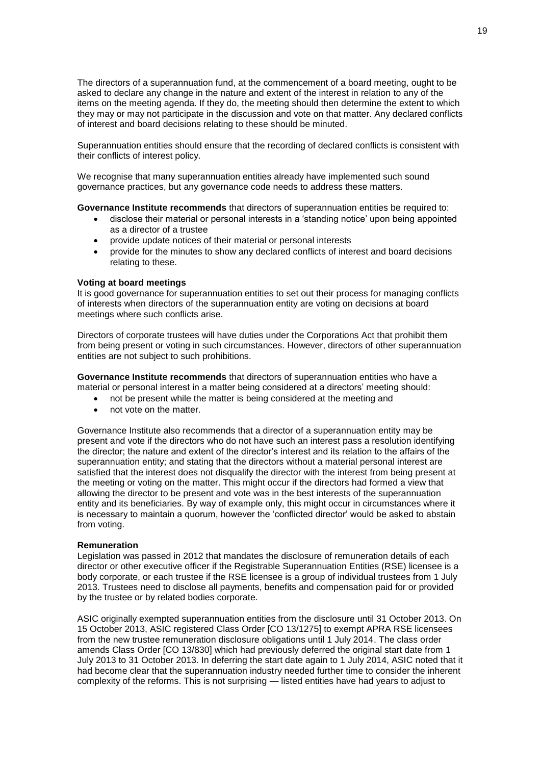The directors of a superannuation fund, at the commencement of a board meeting, ought to be asked to declare any change in the nature and extent of the interest in relation to any of the items on the meeting agenda. If they do, the meeting should then determine the extent to which they may or may not participate in the discussion and vote on that matter. Any declared conflicts of interest and board decisions relating to these should be minuted.

Superannuation entities should ensure that the recording of declared conflicts is consistent with their conflicts of interest policy.

We recognise that many superannuation entities already have implemented such sound governance practices, but any governance code needs to address these matters.

**Governance Institute recommends** that directors of superannuation entities be required to:

- disclose their material or personal interests in a 'standing notice' upon being appointed as a director of a trustee
- provide update notices of their material or personal interests
- provide for the minutes to show any declared conflicts of interest and board decisions relating to these.

#### **Voting at board meetings**

It is good governance for superannuation entities to set out their process for managing conflicts of interests when directors of the superannuation entity are voting on decisions at board meetings where such conflicts arise.

Directors of corporate trustees will have duties under the Corporations Act that prohibit them from being present or voting in such circumstances. However, directors of other superannuation entities are not subject to such prohibitions.

**Governance Institute recommends** that directors of superannuation entities who have a material or personal interest in a matter being considered at a directors' meeting should:

- not be present while the matter is being considered at the meeting and
- not vote on the matter.

Governance Institute also recommends that a director of a superannuation entity may be present and vote if the directors who do not have such an interest pass a resolution identifying the director; the nature and extent of the director's interest and its relation to the affairs of the superannuation entity; and stating that the directors without a material personal interest are satisfied that the interest does not disqualify the director with the interest from being present at the meeting or voting on the matter. This might occur if the directors had formed a view that allowing the director to be present and vote was in the best interests of the superannuation entity and its beneficiaries. By way of example only, this might occur in circumstances where it is necessary to maintain a quorum, however the 'conflicted director' would be asked to abstain from voting.

#### **Remuneration**

Legislation was passed in 2012 that mandates the disclosure of remuneration details of each director or other executive officer if the Registrable Superannuation Entities (RSE) licensee is a body corporate, or each trustee if the RSE licensee is a group of individual trustees from 1 July 2013. Trustees need to disclose all payments, benefits and compensation paid for or provided by the trustee or by related bodies corporate.

ASIC originally exempted superannuation entities from the disclosure until 31 October 2013. On 15 October 2013, ASIC registered Class Order [CO 13/1275] to exempt APRA RSE licensees from the new trustee remuneration disclosure obligations until 1 July 2014. The class order amends Class Order [CO 13/830] which had previously deferred the original start date from 1 July 2013 to 31 October 2013. In deferring the start date again to 1 July 2014, ASIC noted that it had become clear that the superannuation industry needed further time to consider the inherent complexity of the reforms. This is not surprising — listed entities have had years to adjust to